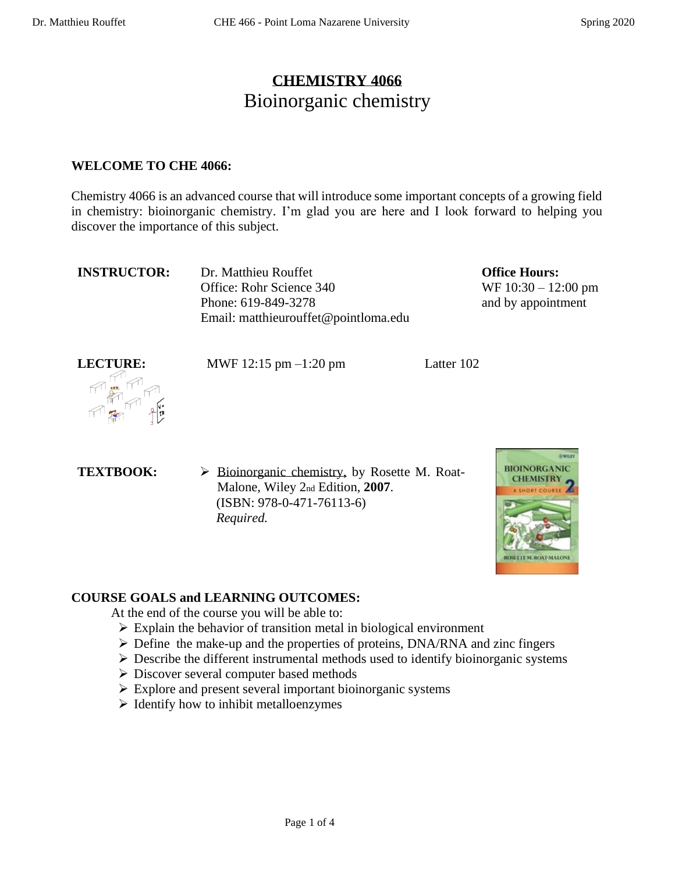# **CHEMISTRY 4066** Bioinorganic chemistry

#### **WELCOME TO CHE 4066:**

Chemistry 4066 is an advanced course that will introduce some important concepts of a growing field in chemistry: bioinorganic chemistry. I'm glad you are here and I look forward to helping you discover the importance of this subject.

**INSTRUCTOR:** Dr. Matthieu Rouffet Office: Rohr Science 340 Phone: 619-849-3278 Email: matthieurouffet@pointloma.edu **Office Hours:**  WF 10:30 – 12:00 pm and by appointment



**LECTURE:** MWF 12:15 pm –1:20 pm Latter 102

- 
- **TEXTBOOK:**  $\rightarrow$  Bioinorganic chemistry, by Rosette M. Roat-Malone, Wiley 2nd Edition, **2007**. (ISBN: 978-0-471-76113-6)  *Required.*



# **COURSE GOALS and LEARNING OUTCOMES:**

At the end of the course you will be able to:

- $\triangleright$  Explain the behavior of transition metal in biological environment
- ➢ Define the make-up and the properties of proteins, DNA/RNA and zinc fingers
- $\triangleright$  Describe the different instrumental methods used to identify bioinorganic systems
- ➢ Discover several computer based methods
- ➢ Explore and present several important bioinorganic systems
- ➢ Identify how to inhibit metalloenzymes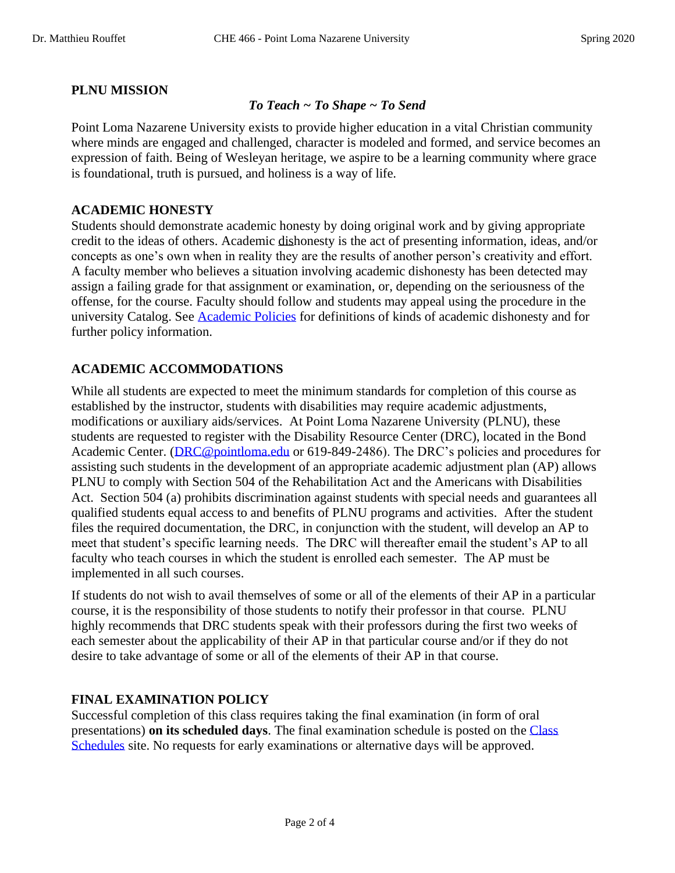# **PLNU MISSION**

#### *To Teach ~ To Shape ~ To Send*

Point Loma Nazarene University exists to provide higher education in a vital Christian community where minds are engaged and challenged, character is modeled and formed, and service becomes an expression of faith. Being of Wesleyan heritage, we aspire to be a learning community where grace is foundational, truth is pursued, and holiness is a way of life.

#### **ACADEMIC HONESTY**

Students should demonstrate academic honesty by doing original work and by giving appropriate credit to the ideas of others. Academic dishonesty is the act of presenting information, ideas, and/or concepts as one's own when in reality they are the results of another person's creativity and effort. A faculty member who believes a situation involving academic dishonesty has been detected may assign a failing grade for that assignment or examination, or, depending on the seriousness of the offense, for the course. Faculty should follow and students may appeal using the procedure in the university Catalog. See [Academic Policies](http://catalog.pointloma.edu/content.php?catoid=18&navoid=1278) for definitions of kinds of academic dishonesty and for further policy information.

# **ACADEMIC ACCOMMODATIONS**

While all students are expected to meet the minimum standards for completion of this course as established by the instructor, students with disabilities may require academic adjustments, modifications or auxiliary aids/services. At Point Loma Nazarene University (PLNU), these students are requested to register with the Disability Resource Center (DRC), located in the Bond Academic Center. [\(DRC@pointloma.edu](mailto:DRC@pointloma.edu) or 619-849-2486). The DRC's policies and procedures for assisting such students in the development of an appropriate academic adjustment plan (AP) allows PLNU to comply with Section 504 of the Rehabilitation Act and the Americans with Disabilities Act. Section 504 (a) prohibits discrimination against students with special needs and guarantees all qualified students equal access to and benefits of PLNU programs and activities. After the student files the required documentation, the DRC, in conjunction with the student, will develop an AP to meet that student's specific learning needs. The DRC will thereafter email the student's AP to all faculty who teach courses in which the student is enrolled each semester. The AP must be implemented in all such courses.

If students do not wish to avail themselves of some or all of the elements of their AP in a particular course, it is the responsibility of those students to notify their professor in that course. PLNU highly recommends that DRC students speak with their professors during the first two weeks of each semester about the applicability of their AP in that particular course and/or if they do not desire to take advantage of some or all of the elements of their AP in that course.

# **FINAL EXAMINATION POLICY**

Successful completion of this class requires taking the final examination (in form of oral presentations) **on its scheduled days**. The final examination schedule is posted on the [Class](http://www.pointloma.edu/experience/academics/class-schedules) [Schedules](http://www.pointloma.edu/experience/academics/class-schedules) site. No requests for early examinations or alternative days will be approved.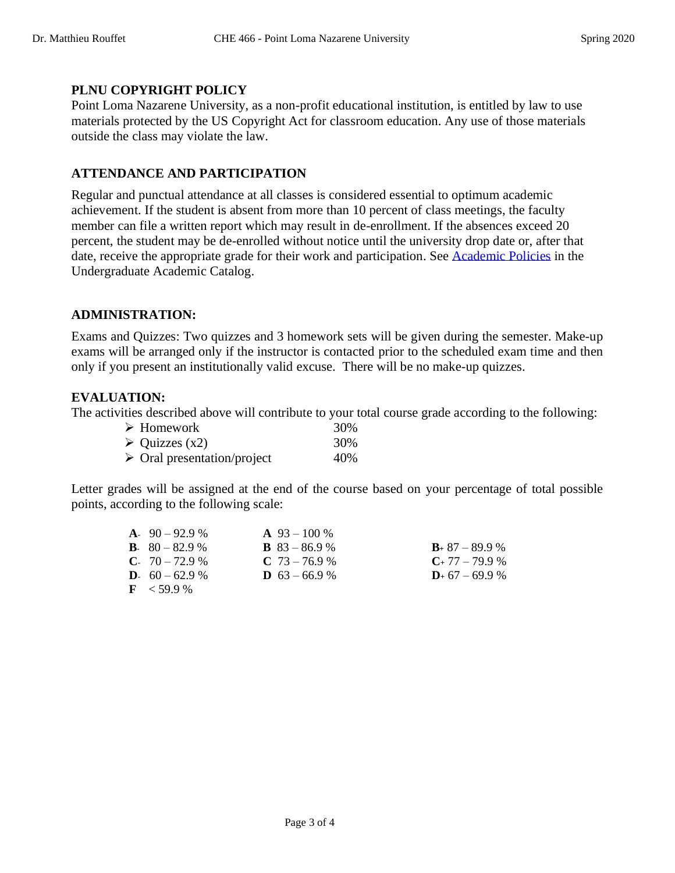# **PLNU COPYRIGHT POLICY**

Point Loma Nazarene University, as a non-profit educational institution, is entitled by law to use materials protected by the US Copyright Act for classroom education. Any use of those materials outside the class may violate the law.

# **ATTENDANCE AND PARTICIPATION**

Regular and punctual attendance at all classes is considered essential to optimum academic achievement. If the student is absent from more than 10 percent of class meetings, the faculty member can file a written report which may result in de-enrollment. If the absences exceed 20 percent, the student may be de-enrolled without notice until the university drop date or, after that date, receive the appropriate grade for their work and participation. See [Academic Policies](http://catalog.pointloma.edu/content.php?catoid=18&navoid=1278) in the Undergraduate Academic Catalog.

## **ADMINISTRATION:**

Exams and Quizzes: Two quizzes and 3 homework sets will be given during the semester. Make-up exams will be arranged only if the instructor is contacted prior to the scheduled exam time and then only if you present an institutionally valid excuse. There will be no make-up quizzes.

## **EVALUATION:**

The activities described above will contribute to your total course grade according to the following:

| $\triangleright$ Homework                  | 30% |
|--------------------------------------------|-----|
| $\triangleright$ Quizzes (x2)              | 30% |
| $\triangleright$ Oral presentation/project | 40% |

Letter grades will be assigned at the end of the course based on your percentage of total possible points, according to the following scale:

| $A. 90 - 92.9 %$         | $\mathbf{A}$ 93 – 100 % |                     |
|--------------------------|-------------------------|---------------------|
| <b>B</b> . $80 - 82.9$ % | <b>B</b> $83 - 86.9$ %  | $B_+$ 87 – 89.9 %   |
| $C. 70 - 72.9 %$         | $C$ 73 – 76.9 %         | $C_{+}$ 77 – 79.9 % |
| <b>D.</b> $60 - 62.9$ %  | <b>D</b> $63 - 66.9$ %  | $D_{+}$ 67 – 69.9 % |
| $\rm{F}$ < 59.9 %        |                         |                     |